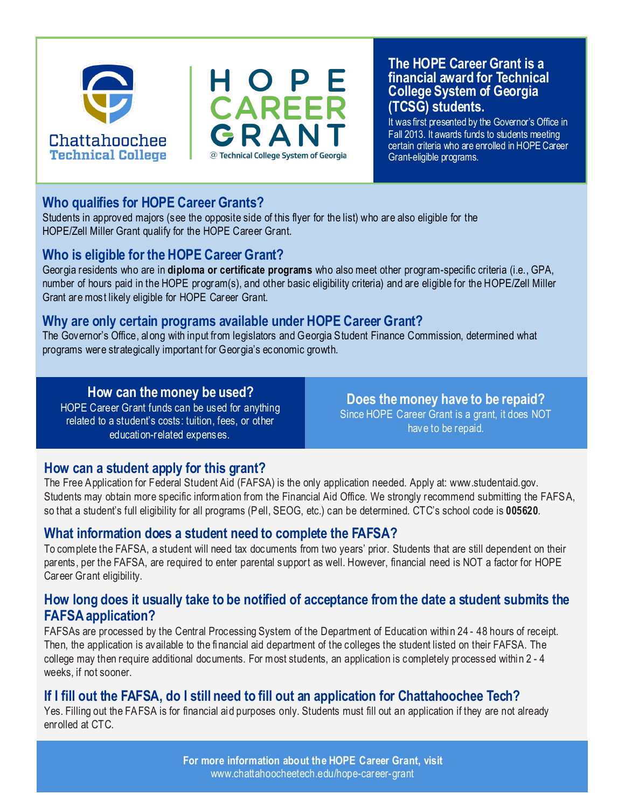



#### **The HOPE Career Grant is a financial award for Technical College System of Georgia (TCSG) students.**

It was first presented by the Governor's Office in Fall 2013. It awards funds to students meeting certain criteria who are enrolled in HOPE Career Grant-eligible programs.

#### **Who qualifies for HOPE Career Grants?**

Students in approved majors (see the opposite side of this flyer for the list) who are also eligible for the HOPE/Zell Miller Grant qualify for the HOPE Career Grant.

#### **Who is eligible for the HOPE Career Grant?**

Georgia residents who are in **diploma or certificate programs** who also meet other program-specific criteria (i.e., GPA, number of hours paid in the HOPE program(s), and other basic eligibility criteria) and are eligible for the HOPE/Zell Miller Grant are most likely eligible for HOPE Career Grant.

#### **Why are only certain programs available under HOPE Career Grant?**

The Governor's Office, along with input from legislators and Georgia Student Finance Commission, determined what programs were strategically important for Georgia's economic growth.

#### **How can the money be used?**

HOPE Career Grant funds can be used for anything related to a student's costs: tuition, fees, or other education-related expenses.

**Does the money have to be repaid?**  Since HOPE Career Grant is a grant, it does NOT have to be repaid.

#### **How can a student apply for this grant?**

The Free Application for Federal Student Aid (FAFSA) is the only application needed. Apply at: www.studentaid.gov. Students may obtain more specific information from the Financial Aid Office. We strongly recommend submitting the FAFSA, so that a student's full eligibility for all programs (Pell, SEOG, etc.) can be determined. CTC's school code is **005620**.

#### **What information does a student need to complete the FAFSA?**

To complete the FAFSA, a student will need tax documents from two years' prior. Students that are still dependent on their parents, per the FAFSA, are required to enter parental support as well. However, financial need is NOT a factor for HOPE Career Grant eligibility.

#### **How long does it usually take to be notified of acceptance from the date a student submits the FAFSA application?**

FAFSAs are processed by the Central Processing System of the Department of Education within 24 - 48 hours of receipt. Then, the application is available to the financial aid department of the colleges the student listed on their FAFSA. The college may then require additional documents. For most students, an application is completely processed within 2 - 4 weeks, if not sooner.

#### **If I fill out the FAFSA, do I still need to fill out an application for Chattahoochee Tech?**

Yes. Filling out the FAFSA is for financial aid purposes only. Students must fill out an application if they are not already enrolled at CTC.

> **For more information about the HOPE Career Grant, visit**  www.chattahoocheetech.edu/hope-career-grant